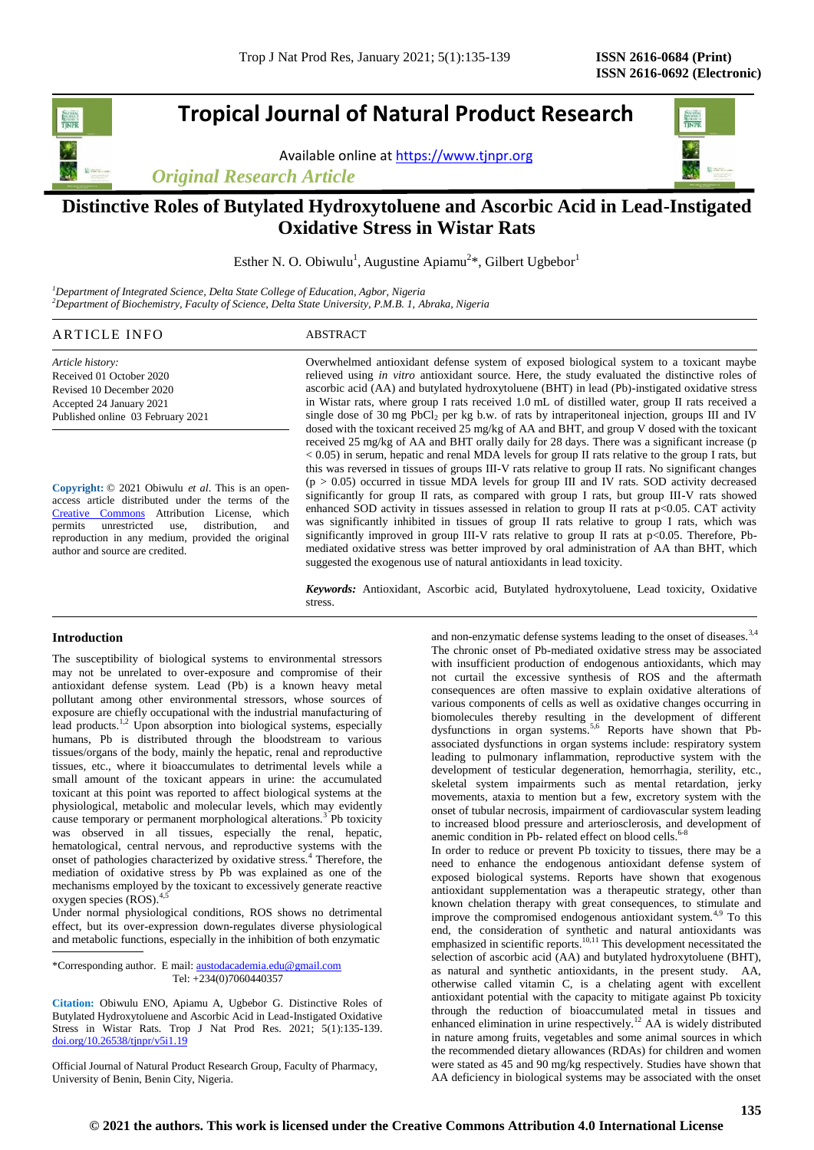# **Tropical Journal of Natural Product Research**

Available online a[t https://www.tjnpr.org](https://www.tjnpr.org/)

*Original Research Article*



# **Distinctive Roles of Butylated Hydroxytoluene and Ascorbic Acid in Lead-Instigated Oxidative Stress in Wistar Rats**

Esther N. O. Obiwulu<sup>1</sup>, Augustine Apiamu<sup>2\*</sup>, Gilbert Ugbebor<sup>1</sup>

*<sup>1</sup>Department of Integrated Science, Delta State College of Education, Agbor, Nigeria <sup>2</sup>Department of Biochemistry, Faculty of Science, Delta State University, P.M.B. 1, Abraka, Nigeria*

| <b>ARTICLE INFO</b> | <b>ABSTRACT</b> |
|---------------------|-----------------|
|                     |                 |

*Article history:* Received 01 October 2020 Revised 10 December 2020 Accepted 24 January 2021 Published online 03 February 2021

**Copyright:** © 2021 Obiwulu *et al*. This is an openaccess article distributed under the terms of the [Creative Commons](https://creativecommons.org/licenses/by/4.0/) Attribution License, which permits unrestricted use, distribution, and reproduction in any medium, provided the original author and source are credited.

Overwhelmed antioxidant defense system of exposed biological system to a toxicant maybe relieved using *in vitro* antioxidant source. Here, the study evaluated the distinctive roles of ascorbic acid (AA) and butylated hydroxytoluene (BHT) in lead (Pb)-instigated oxidative stress in Wistar rats, where group I rats received 1.0 mL of distilled water, group II rats received a single dose of 30 mg  $\overline{PbCl_2}$  per kg b.w. of rats by intraperitoneal injection, groups III and IV dosed with the toxicant received 25 mg/kg of AA and BHT, and group V dosed with the toxicant received 25 mg/kg of AA and BHT orally daily for 28 days. There was a significant increase (p < 0.05) in serum, hepatic and renal MDA levels for group II rats relative to the group I rats, but this was reversed in tissues of groups III-V rats relative to group II rats. No significant changes  $(p > 0.05)$  occurred in tissue MDA levels for group III and IV rats. SOD activity decreased significantly for group II rats, as compared with group I rats, but group III-V rats showed enhanced SOD activity in tissues assessed in relation to group II rats at p<0.05. CAT activity was significantly inhibited in tissues of group II rats relative to group I rats, which was significantly improved in group III-V rats relative to group II rats at p<0.05. Therefore, Pbmediated oxidative stress was better improved by oral administration of AA than BHT, which suggested the exogenous use of natural antioxidants in lead toxicity.

*Keywords:* Antioxidant, Ascorbic acid, Butylated hydroxytoluene, Lead toxicity, Oxidative stress.

#### **Introduction**

The susceptibility of biological systems to environmental stressors may not be unrelated to over-exposure and compromise of their antioxidant defense system. Lead (Pb) is a known heavy metal pollutant among other environmental stressors, whose sources of exposure are chiefly occupational with the industrial manufacturing of lead products.<sup>1,2</sup> Upon absorption into biological systems, especially humans, Pb is distributed through the bloodstream to various tissues/organs of the body, mainly the hepatic, renal and reproductive tissues, etc., where it bioaccumulates to detrimental levels while a small amount of the toxicant appears in urine: the accumulated toxicant at this point was reported to affect biological systems at the physiological, metabolic and molecular levels, which may evidently cause temporary or permanent morphological alterations.<sup>3</sup> Pb toxicity was observed in all tissues, especially the renal, hepatic, hematological, central nervous, and reproductive systems with the onset of pathologies characterized by oxidative stress.<sup>4</sup> Therefore, the mediation of oxidative stress by Pb was explained as one of the mechanisms employed by the toxicant to excessively generate reactive oxygen species  $(ROS)^{4,5}$ 

Under normal physiological conditions, ROS shows no detrimental effect, but its over-expression down-regulates diverse physiological and metabolic functions, especially in the inhibition of both enzymatic

\*Corresponding author. E mail[: austodacademia.edu@gmail.com](mailto:austodacademia.edu@gmail.com) Tel: +234(0)7060440357

**Citation:** Obiwulu ENO, Apiamu A, Ugbebor G. Distinctive Roles of Butylated Hydroxytoluene and Ascorbic Acid in Lead-Instigated Oxidative Stress in Wistar Rats*.* Trop J Nat Prod Res. 2021; 5(1):135-139. [doi.org/10.26538/tjnpr/v5i1.1](http://www.doi.org/10.26538/tjnpr/v1i4.5)9

Official Journal of Natural Product Research Group, Faculty of Pharmacy, University of Benin, Benin City, Nigeria.

and non-enzymatic defense systems leading to the onset of diseases.<sup>3,4</sup> The chronic onset of Pb-mediated oxidative stress may be associated with insufficient production of endogenous antioxidants, which may not curtail the excessive synthesis of ROS and the aftermath consequences are often massive to explain oxidative alterations of various components of cells as well as oxidative changes occurring in biomolecules thereby resulting in the development of different dysfunctions in organ systems.<sup>5,6</sup> Reports have shown that Pbassociated dysfunctions in organ systems include: respiratory system leading to pulmonary inflammation, reproductive system with the development of testicular degeneration, hemorrhagia, sterility, etc., skeletal system impairments such as mental retardation, jerky movements, ataxia to mention but a few, excretory system with the onset of tubular necrosis, impairment of cardiovascular system leading to increased blood pressure and arteriosclerosis, and development of anemic condition in Pb- related effect on blood cells.<sup>6</sup>

In order to reduce or prevent Pb toxicity to tissues, there may be a need to enhance the endogenous antioxidant defense system of exposed biological systems. Reports have shown that exogenous antioxidant supplementation was a therapeutic strategy, other than known chelation therapy with great consequences, to stimulate and improve the compromised endogenous antioxidant system.<sup>4,9</sup> To this end, the consideration of synthetic and natural antioxidants was emphasized in scientific reports.<sup>10,11</sup> This development necessitated the selection of ascorbic acid (AA) and butylated hydroxytoluene (BHT), as natural and synthetic antioxidants, in the present study. AA, otherwise called vitamin C, is a chelating agent with excellent antioxidant potential with the capacity to mitigate against Pb toxicity through the reduction of bioaccumulated metal in tissues and enhanced elimination in urine respectively.<sup>12</sup> AA is widely distributed in nature among fruits, vegetables and some animal sources in which the recommended dietary allowances (RDAs) for children and women were stated as 45 and 90 mg/kg respectively. Studies have shown that AA deficiency in biological systems may be associated with the onset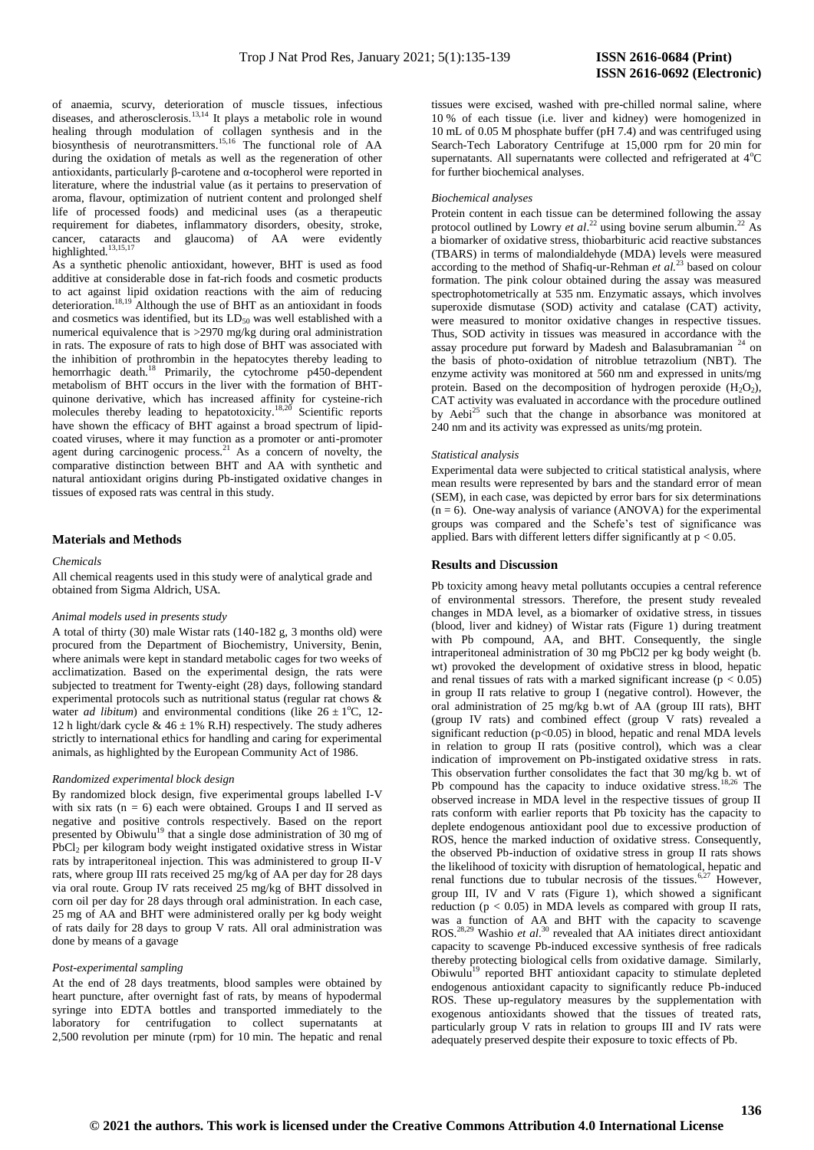of anaemia, scurvy, deterioration of muscle tissues, infectious diseases, and atherosclerosis.<sup>13,14</sup> It plays a metabolic role in wound healing through modulation of collagen synthesis and in the biosynthesis of neurotransmitters.<sup>15,16</sup> The functional role of AA during the oxidation of metals as well as the regeneration of other antioxidants, particularly β-carotene and α-tocopherol were reported in literature, where the industrial value (as it pertains to preservation of aroma, flavour, optimization of nutrient content and prolonged shelf life of processed foods) and medicinal uses (as a therapeutic requirement for diabetes, inflammatory disorders, obesity, stroke, cancer, cataracts and glaucoma) of AA were evidently highlighted.<sup>13,15,17</sup>

As a synthetic phenolic antioxidant, however, BHT is used as food additive at considerable dose in fat-rich foods and cosmetic products to act against lipid oxidation reactions with the aim of reducing deterioration.<sup>18,19</sup> Although the use of BHT as an antioxidant in foods and cosmetics was identified, but its  $LD_{50}$  was well established with a numerical equivalence that is >2970 mg/kg during oral administration in rats. The exposure of rats to high dose of BHT was associated with the inhibition of prothrombin in the hepatocytes thereby leading to hemorrhagic death.<sup>18</sup> Primarily, the cytochrome p450-dependent metabolism of BHT occurs in the liver with the formation of BHTquinone derivative, which has increased affinity for cysteine-rich molecules thereby leading to hepatotoxicity.<sup>18,20</sup> Scientific reports have shown the efficacy of BHT against a broad spectrum of lipidcoated viruses, where it may function as a promoter or anti-promoter agent during carcinogenic process. $21$  As a concern of novelty, the comparative distinction between BHT and AA with synthetic and natural antioxidant origins during Pb-instigated oxidative changes in tissues of exposed rats was central in this study.

### **Materials and Methods**

#### *Chemicals*

All chemical reagents used in this study were of analytical grade and obtained from Sigma Aldrich, USA.

#### *Animal models used in presents study*

A total of thirty (30) male Wistar rats (140-182 g, 3 months old) were procured from the Department of Biochemistry, University, Benin, where animals were kept in standard metabolic cages for two weeks of acclimatization. Based on the experimental design, the rats were subjected to treatment for Twenty-eight (28) days, following standard experimental protocols such as nutritional status (regular rat chows & water *ad libitum*) and environmental conditions (like  $26 \pm 1^{\circ}$ C, 12-12 h light/dark cycle &  $46 \pm 1\%$  R.H) respectively. The study adheres strictly to international ethics for handling and caring for experimental animals, as highlighted by the European Community Act of 1986.

#### *Randomized experimental block design*

By randomized block design, five experimental groups labelled I-V with six rats ( $n = 6$ ) each were obtained. Groups I and II served as negative and positive controls respectively. Based on the report presented by Obiwulu<sup>19</sup> that a single dose administration of 30 mg of PbCl<sub>2</sub> per kilogram body weight instigated oxidative stress in Wistar rats by intraperitoneal injection. This was administered to group II-V rats, where group III rats received 25 mg/kg of AA per day for 28 days via oral route. Group IV rats received 25 mg/kg of BHT dissolved in corn oil per day for 28 days through oral administration. In each case, 25 mg of AA and BHT were administered orally per kg body weight of rats daily for 28 days to group V rats. All oral administration was done by means of a gavage

#### *Post-experimental sampling*

At the end of 28 days treatments, blood samples were obtained by heart puncture, after overnight fast of rats, by means of hypodermal syringe into EDTA bottles and transported immediately to the laboratory for centrifugation to collect supernatants at 2,500 revolution per minute (rpm) for 10 min. The hepatic and renal tissues were excised, washed with pre-chilled normal saline, where 10 % of each tissue (i.e. liver and kidney) were homogenized in 10 mL of 0.05 M phosphate buffer (pH 7.4) and was centrifuged using Search-Tech Laboratory Centrifuge at 15,000 rpm for 20 min for supernatants. All supernatants were collected and refrigerated at  $4^{\circ}C$ for further biochemical analyses.

# *Biochemical analyses*

Protein content in each tissue can be determined following the assay protocol outlined by Lowry *et al.*<sup>22</sup> using bovine serum albumin.<sup>22</sup> As a biomarker of oxidative stress, thiobarbituric acid reactive substances (TBARS) in terms of malondialdehyde (MDA) levels were measured according to the method of Shafiq-ur-Rehman *et al.*<sup>23</sup> based on colour formation. The pink colour obtained during the assay was measured spectrophotometrically at 535 nm. Enzymatic assays, which involves superoxide dismutase (SOD) activity and catalase (CAT) activity, were measured to monitor oxidative changes in respective tissues. Thus, SOD activity in tissues was measured in accordance with the assay procedure put forward by Madesh and Balasubramanian  $24$  on the basis of photo-oxidation of nitroblue tetrazolium (NBT). The enzyme activity was monitored at 560 nm and expressed in units/mg protein. Based on the decomposition of hydrogen peroxide  $(H_2O_2)$ , CAT activity was evaluated in accordance with the procedure outlined by Aebi<sup>25</sup> such that the change in absorbance was monitored at 240 nm and its activity was expressed as units/mg protein.

### *Statistical analysis*

Experimental data were subjected to critical statistical analysis, where mean results were represented by bars and the standard error of mean (SEM), in each case, was depicted by error bars for six determinations  $(n = 6)$ . One-way analysis of variance (ANOVA) for the experimental groups was compared and the Schefe's test of significance was applied. Bars with different letters differ significantly at  $p < 0.05$ .

#### **Results and** D**iscussion**

Pb toxicity among heavy metal pollutants occupies a central reference of environmental stressors. Therefore, the present study revealed changes in MDA level, as a biomarker of oxidative stress, in tissues (blood, liver and kidney) of Wistar rats (Figure 1) during treatment with Pb compound, AA, and BHT. Consequently, the single intraperitoneal administration of 30 mg PbCl2 per kg body weight (b. wt) provoked the development of oxidative stress in blood, hepatic and renal tissues of rats with a marked significant increase ( $p < 0.05$ ) in group II rats relative to group I (negative control). However, the oral administration of 25 mg/kg b.wt of AA (group III rats), BHT (group IV rats) and combined effect (group V rats) revealed a significant reduction (p<0.05) in blood, hepatic and renal MDA levels in relation to group II rats (positive control), which was a clear indication of improvement on Pb-instigated oxidative stress in rats. This observation further consolidates the fact that 30 mg/kg b. wt of Pb compound has the capacity to induce oxidative stress.<sup>18,26</sup> The observed increase in MDA level in the respective tissues of group II rats conform with earlier reports that Pb toxicity has the capacity to deplete endogenous antioxidant pool due to excessive production of ROS, hence the marked induction of oxidative stress. Consequently, the observed Pb-induction of oxidative stress in group II rats shows the likelihood of toxicity with disruption of hematological, hepatic and renal functions due to tubular necrosis of the tissues.<sup>6,27</sup> However, group III, IV and V rats (Figure 1), which showed a significant reduction ( $p < 0.05$ ) in MDA levels as compared with group II rats, was a function of AA and BHT with the capacity to scavenge ROS.<sup>28,29</sup> Washio *et al.*<sup>30</sup> revealed that AA initiates direct antioxidant capacity to scavenge Pb-induced excessive synthesis of free radicals thereby protecting biological cells from oxidative damage. Similarly, Obiwulu<sup>19</sup> reported BHT antioxidant capacity to stimulate depleted endogenous antioxidant capacity to significantly reduce Pb-induced ROS. These up-regulatory measures by the supplementation with exogenous antioxidants showed that the tissues of treated rats, particularly group V rats in relation to groups III and IV rats were adequately preserved despite their exposure to toxic effects of Pb.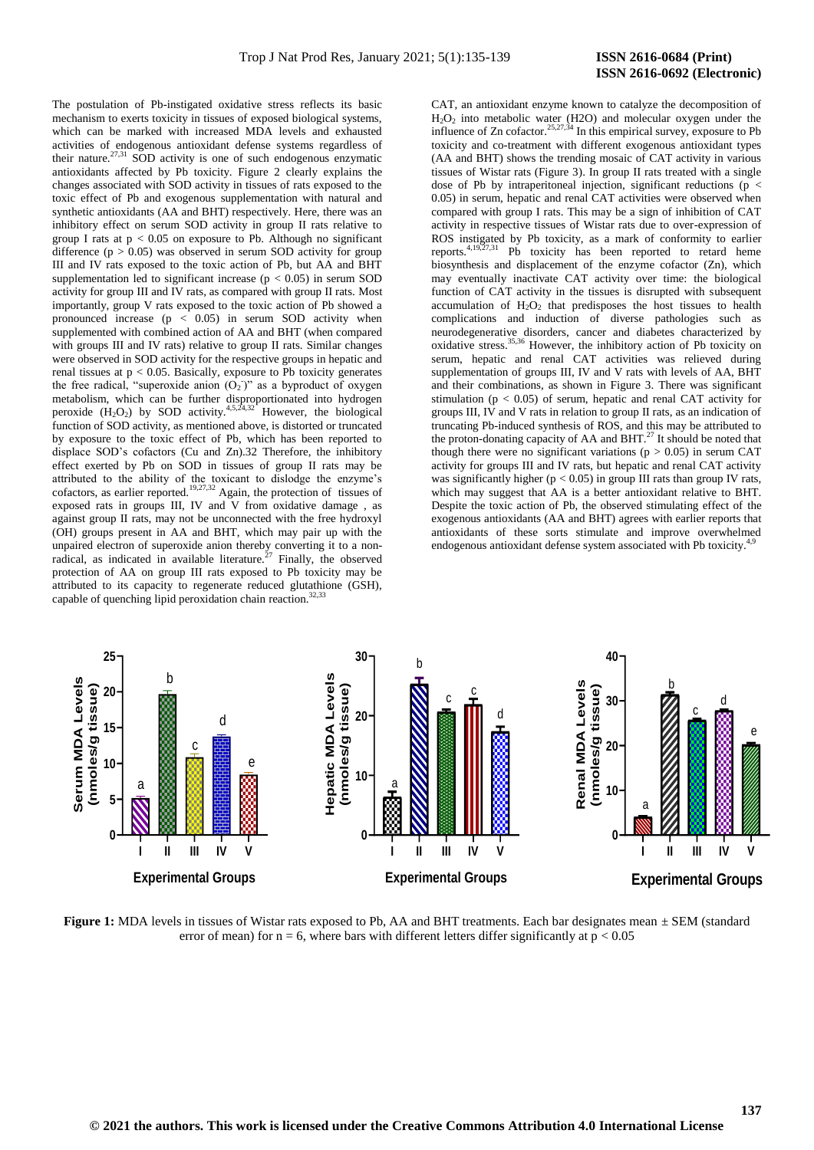The postulation of Pb-instigated oxidative stress reflects its basic mechanism to exerts toxicity in tissues of exposed biological systems, which can be marked with increased MDA levels and exhausted activities of endogenous antioxidant defense systems regardless of their nature.<sup>27,31</sup> SOD activity is one of such endogenous enzymatic antioxidants affected by Pb toxicity. Figure 2 clearly explains the changes associated with SOD activity in tissues of rats exposed to the toxic effect of Pb and exogenous supplementation with natural and synthetic antioxidants (AA and BHT) respectively. Here, there was an inhibitory effect on serum SOD activity in group II rats relative to group I rats at  $p < 0.05$  on exposure to Pb. Although no significant difference  $(p > 0.05)$  was observed in serum SOD activity for group III and IV rats exposed to the toxic action of Pb, but AA and BHT supplementation led to significant increase ( $p < 0.05$ ) in serum SOD activity for group III and IV rats, as compared with group II rats. Most importantly, group V rats exposed to the toxic action of Pb showed a pronounced increase  $(p < 0.05)$  in serum SOD activity when supplemented with combined action of AA and BHT (when compared with groups III and IV rats) relative to group II rats. Similar changes were observed in SOD activity for the respective groups in hepatic and renal tissues at  $p < 0.05$ . Basically, exposure to Pb toxicity generates the free radical, "superoxide anion  $(O_2)$ " as a byproduct of oxygen metabolism, which can be further disproportionated into hydrogen peroxide  $(H_2O_2)$  by SOD activity.<sup>4,5,24,32</sup> However, the biological function of SOD activity, as mentioned above, is distorted or truncated by exposure to the toxic effect of Pb, which has been reported to displace SOD's cofactors (Cu and Zn).32 Therefore, the inhibitory effect exerted by Pb on SOD in tissues of group II rats may be attributed to the ability of the toxicant to dislodge the enzyme's cofactors, as earlier reported.<sup>19,27,32</sup> Again, the protection of tissues of exposed rats in groups III, IV and V from oxidative damage , as against group II rats, may not be unconnected with the free hydroxyl (OH) groups present in AA and BHT, which may pair up with the unpaired electron of superoxide anion thereby converting it to a nonradical, as indicated in available literature.<sup>27</sup> Finally, the observed protection of AA on group III rats exposed to Pb toxicity may be attributed to its capacity to regenerate reduced glutathione (GSH), capable of quenching lipid peroxidation chain reaction. $32$ ,

CAT, an antioxidant enzyme known to catalyze the decomposition of H2O<sup>2</sup> into metabolic water (H2O) and molecular oxygen under the influence of  $Zn$  cofactor.<sup>25,27,34</sup> In this empirical survey, exposure to Pb toxicity and co-treatment with different exogenous antioxidant types (AA and BHT) shows the trending mosaic of CAT activity in various tissues of Wistar rats (Figure 3). In group II rats treated with a single dose of Pb by intraperitoneal injection, significant reductions (p < 0.05) in serum, hepatic and renal CAT activities were observed when compared with group I rats. This may be a sign of inhibition of CAT activity in respective tissues of Wistar rats due to over-expression of ROS instigated by Pb toxicity, as a mark of conformity to earlier reports.<sup>4,19,27,31</sup> Pb toxicity has been reported to retard heme biosynthesis and displacement of the enzyme cofactor (Zn), which may eventually inactivate CAT activity over time: the biological function of CAT activity in the tissues is disrupted with subsequent accumulation of  $H_2O_2$  that predisposes the host tissues to health complications and induction of diverse pathologies such as neurodegenerative disorders, cancer and diabetes characterized by oxidative stress.<sup>35,36</sup> However, the inhibitory action of Pb toxicity on serum, hepatic and renal CAT activities was relieved during supplementation of groups III, IV and V rats with levels of AA, BHT and their combinations, as shown in Figure 3. There was significant stimulation ( $p < 0.05$ ) of serum, hepatic and renal CAT activity for groups III, IV and V rats in relation to group II rats, as an indication of truncating Pb-induced synthesis of ROS, and this may be attributed to the proton-donating capacity of AA and BHT.<sup>27</sup> It should be noted that though there were no significant variations ( $p > 0.05$ ) in serum CAT activity for groups III and IV rats, but hepatic and renal CAT activity was significantly higher ( $p < 0.05$ ) in group III rats than group IV rats, which may suggest that AA is a better antioxidant relative to BHT. Despite the toxic action of Pb, the observed stimulating effect of the exogenous antioxidants (AA and BHT) agrees with earlier reports that antioxidants of these sorts stimulate and improve overwhelmed endogenous antioxidant defense system associated with Pb toxicity.<sup>4,9</sup>



**Figure 1:** MDA levels in tissues of Wistar rats exposed to Pb, AA and BHT treatments. Each bar designates mean ± SEM (standard error of mean) for  $n = 6$ , where bars with different letters differ significantly at  $p < 0.05$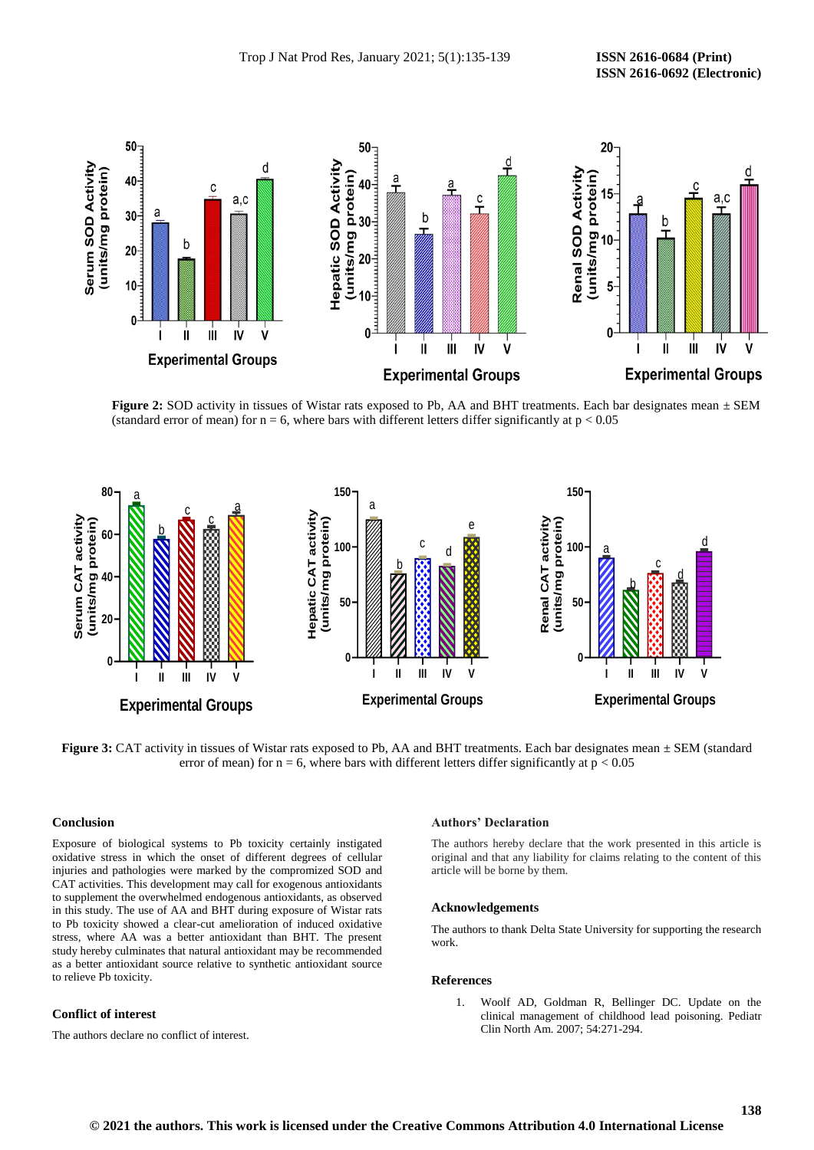

**Figure 2:** SOD activity in tissues of Wistar rats exposed to Pb, AA and BHT treatments. Each bar designates mean  $\pm$  SEM (standard error of mean) for  $n = 6$ , where bars with different letters differ significantly at  $p < 0.05$ 



**Figure 3:** CAT activity in tissues of Wistar rats exposed to Pb, AA and BHT treatments. Each bar designates mean  $\pm$  SEM (standard error of mean) for  $n = 6$ , where bars with different letters differ significantly at  $p < 0.05$ 

# **Conclusion**

**Experimental Groups**<br> **Experimental Groups**<br> **Experimental Groups**<br> **Experimental Groups**<br> **Experimental Groups**<br> **Experimental Groups**<br> **Experimental Groups**<br> **Experimental Groups**<br> **Experimental Groups**<br> **Experimental G** Exposure of biological systems to Pb toxicity certainly instigated oxidative stress in which the onset of different degrees of cellular injuries and pathologies were marked by the compromized SOD and CAT activities. This development may call for exogenous antioxidants to supplement the overwhelmed endogenous antioxidants, as observed in this study. The use of AA and BHT during exposure of Wistar rats to Pb toxicity showed a clear-cut amelioration of induced oxidative stress, where AA was a better antioxidant than BHT. The present study hereby culminates that natural antioxidant may be recommended as a better antioxidant source relative to synthetic antioxidant source to relieve Pb toxicity.

# **Conflict of interest**

The authors declare no conflict of interest.

#### **Authors' Declaration**

The authors hereby declare that the work presented in this article is original and that any liability for claims relating to the content of this article will be borne by them.

# **Acknowledgements**

The authors to thank Delta State University for supporting the research work.

# **References**

1. Woolf AD, Goldman R, Bellinger DC. Update on the clinical management of childhood lead poisoning. Pediatr Clin North Am. 2007; 54:271-294.